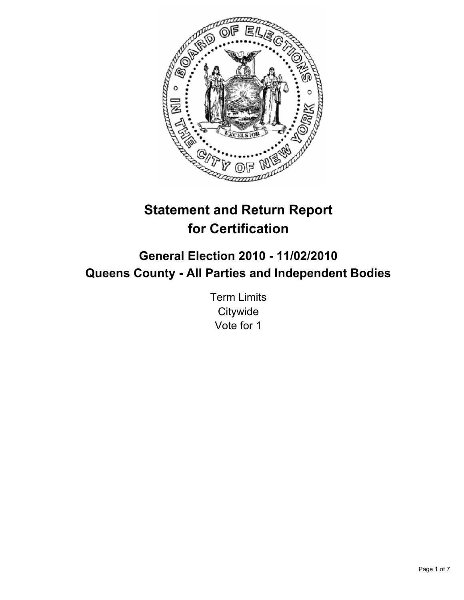

# **Statement and Return Report for Certification**

# **General Election 2010 - 11/02/2010 Queens County - All Parties and Independent Bodies**

Term Limits **Citywide** Vote for 1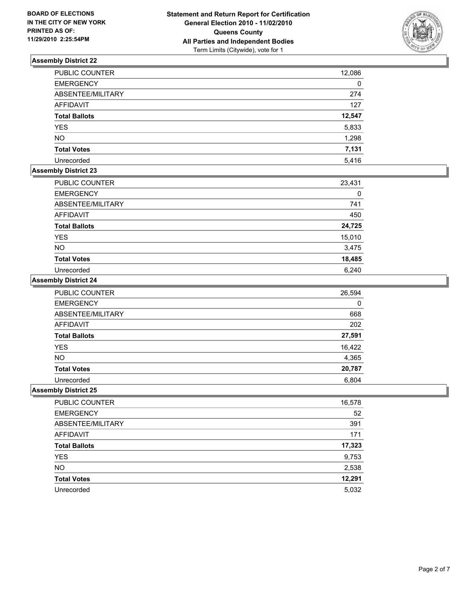

| <b>PUBLIC COUNTER</b> | 12,086 |
|-----------------------|--------|
| <b>EMERGENCY</b>      | 0      |
| ABSENTEE/MILITARY     | 274    |
| <b>AFFIDAVIT</b>      | 127    |
| <b>Total Ballots</b>  | 12,547 |
| <b>YES</b>            | 5,833  |
| <b>NO</b>             | 1,298  |
| <b>Total Votes</b>    | 7,131  |
| Unrecorded            | 5,416  |

## **Assembly District 23**

| PUBLIC COUNTER       | 23,431 |
|----------------------|--------|
| <b>EMERGENCY</b>     | 0      |
| ABSENTEE/MILITARY    | 741    |
| <b>AFFIDAVIT</b>     | 450    |
| <b>Total Ballots</b> | 24,725 |
| <b>YES</b>           | 15,010 |
| <b>NO</b>            | 3,475  |
| <b>Total Votes</b>   | 18,485 |
| Unrecorded           | 6.240  |

## **Assembly District 24**

| <b>PUBLIC COUNTER</b> | 26,594 |
|-----------------------|--------|
| <b>EMERGENCY</b>      | 0      |
| ABSENTEE/MILITARY     | 668    |
| <b>AFFIDAVIT</b>      | 202    |
| <b>Total Ballots</b>  | 27,591 |
| <b>YES</b>            | 16,422 |
| <b>NO</b>             | 4,365  |
| <b>Total Votes</b>    | 20,787 |
| Unrecorded            | 6,804  |

| PUBLIC COUNTER       | 16,578 |
|----------------------|--------|
| <b>EMERGENCY</b>     | 52     |
| ABSENTEE/MILITARY    | 391    |
| <b>AFFIDAVIT</b>     | 171    |
| <b>Total Ballots</b> | 17,323 |
| <b>YES</b>           | 9,753  |
| <b>NO</b>            | 2,538  |
| <b>Total Votes</b>   | 12,291 |
| Unrecorded           | 5,032  |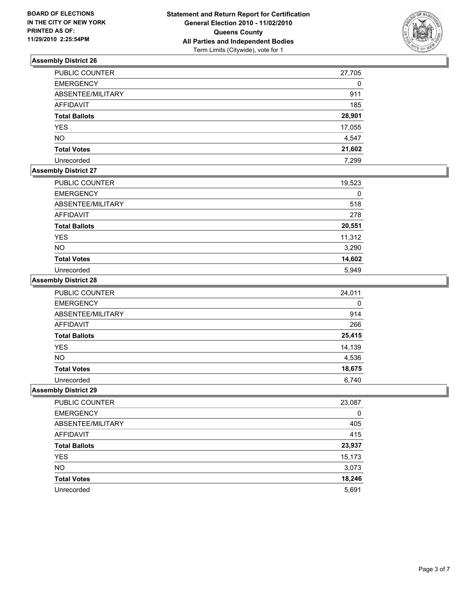

| <b>PUBLIC COUNTER</b> | 27,705 |
|-----------------------|--------|
| <b>EMERGENCY</b>      | 0      |
| ABSENTEE/MILITARY     | 911    |
| <b>AFFIDAVIT</b>      | 185    |
| <b>Total Ballots</b>  | 28,901 |
| <b>YES</b>            | 17,055 |
| <b>NO</b>             | 4,547  |
| <b>Total Votes</b>    | 21,602 |
| Unrecorded            | 7.299  |

# **Assembly District 27**

| <b>PUBLIC COUNTER</b> | 19,523 |
|-----------------------|--------|
| <b>EMERGENCY</b>      | 0      |
| ABSENTEE/MILITARY     | 518    |
| <b>AFFIDAVIT</b>      | 278    |
| <b>Total Ballots</b>  | 20,551 |
| <b>YES</b>            | 11,312 |
| <b>NO</b>             | 3,290  |
| <b>Total Votes</b>    | 14,602 |
| Unrecorded            | 5.949  |

#### **Assembly District 28**

| <b>PUBLIC COUNTER</b> | 24,011 |
|-----------------------|--------|
| <b>EMERGENCY</b>      | 0      |
| ABSENTEE/MILITARY     | 914    |
| <b>AFFIDAVIT</b>      | 266    |
| <b>Total Ballots</b>  | 25,415 |
| <b>YES</b>            | 14,139 |
| <b>NO</b>             | 4,536  |
| <b>Total Votes</b>    | 18,675 |
| Unrecorded            | 6.740  |

| PUBLIC COUNTER       | 23,087 |
|----------------------|--------|
| <b>EMERGENCY</b>     | 0      |
| ABSENTEE/MILITARY    | 405    |
| AFFIDAVIT            | 415    |
| <b>Total Ballots</b> | 23,937 |
| <b>YES</b>           | 15,173 |
| <b>NO</b>            | 3,073  |
| <b>Total Votes</b>   | 18,246 |
| Unrecorded           | 5,691  |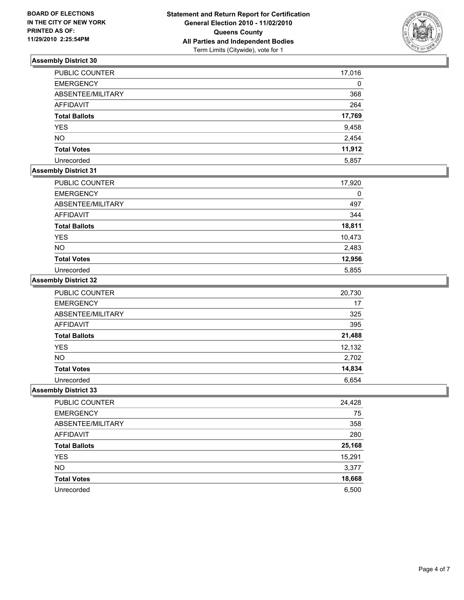

| <b>PUBLIC COUNTER</b> | 17,016 |
|-----------------------|--------|
| <b>EMERGENCY</b>      | 0      |
| ABSENTEE/MILITARY     | 368    |
| <b>AFFIDAVIT</b>      | 264    |
| <b>Total Ballots</b>  | 17,769 |
| <b>YES</b>            | 9,458  |
| <b>NO</b>             | 2,454  |
| <b>Total Votes</b>    | 11,912 |
| Unrecorded            | 5,857  |

# **Assembly District 31**

| <b>PUBLIC COUNTER</b> | 17,920 |
|-----------------------|--------|
| <b>EMERGENCY</b>      | 0      |
| ABSENTEE/MILITARY     | 497    |
| <b>AFFIDAVIT</b>      | 344    |
| <b>Total Ballots</b>  | 18,811 |
| <b>YES</b>            | 10,473 |
| <b>NO</b>             | 2,483  |
| <b>Total Votes</b>    | 12,956 |
| Unrecorded            | 5,855  |

## **Assembly District 32**

| <b>PUBLIC COUNTER</b> | 20,730 |
|-----------------------|--------|
| <b>EMERGENCY</b>      | 17     |
| ABSENTEE/MILITARY     | 325    |
| <b>AFFIDAVIT</b>      | 395    |
| <b>Total Ballots</b>  | 21,488 |
| <b>YES</b>            | 12,132 |
| <b>NO</b>             | 2,702  |
| <b>Total Votes</b>    | 14,834 |
| Unrecorded            | 6,654  |

| PUBLIC COUNTER       | 24,428 |
|----------------------|--------|
| <b>EMERGENCY</b>     | 75     |
| ABSENTEE/MILITARY    | 358    |
| AFFIDAVIT            | 280    |
| <b>Total Ballots</b> | 25,168 |
| <b>YES</b>           | 15,291 |
| <b>NO</b>            | 3,377  |
| <b>Total Votes</b>   | 18,668 |
| Unrecorded           | 6,500  |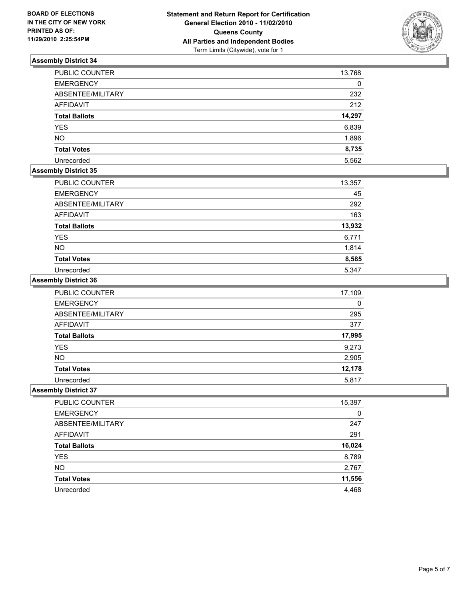

| PUBLIC COUNTER       | 13,768 |
|----------------------|--------|
| <b>EMERGENCY</b>     | 0      |
| ABSENTEE/MILITARY    | 232    |
| <b>AFFIDAVIT</b>     | 212    |
| <b>Total Ballots</b> | 14,297 |
| <b>YES</b>           | 6,839  |
| <b>NO</b>            | 1,896  |
| <b>Total Votes</b>   | 8,735  |
| Unrecorded           | 5,562  |

# **Assembly District 35**

| <b>PUBLIC COUNTER</b> | 13,357 |
|-----------------------|--------|
| <b>EMERGENCY</b>      | 45     |
| ABSENTEE/MILITARY     | 292    |
| AFFIDAVIT             | 163    |
| <b>Total Ballots</b>  | 13,932 |
| <b>YES</b>            | 6,771  |
| <b>NO</b>             | 1,814  |
| <b>Total Votes</b>    | 8,585  |
| Unrecorded            | 5,347  |

#### **Assembly District 36**

| <b>PUBLIC COUNTER</b> | 17,109 |
|-----------------------|--------|
| <b>EMERGENCY</b>      | 0      |
| ABSENTEE/MILITARY     | 295    |
| <b>AFFIDAVIT</b>      | 377    |
| <b>Total Ballots</b>  | 17,995 |
| <b>YES</b>            | 9,273  |
| <b>NO</b>             | 2,905  |
| <b>Total Votes</b>    | 12,178 |
| Unrecorded            | 5,817  |

| PUBLIC COUNTER       | 15,397 |
|----------------------|--------|
| <b>EMERGENCY</b>     | 0      |
| ABSENTEE/MILITARY    | 247    |
| AFFIDAVIT            | 291    |
| <b>Total Ballots</b> | 16,024 |
| <b>YES</b>           | 8,789  |
| <b>NO</b>            | 2,767  |
| <b>Total Votes</b>   | 11,556 |
| Unrecorded           | 4,468  |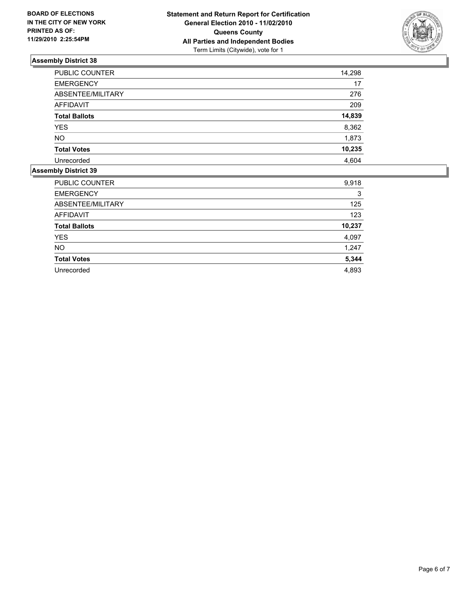

| <b>PUBLIC COUNTER</b> | 14,298 |
|-----------------------|--------|
| <b>EMERGENCY</b>      | 17     |
| ABSENTEE/MILITARY     | 276    |
| <b>AFFIDAVIT</b>      | 209    |
| <b>Total Ballots</b>  | 14,839 |
| <b>YES</b>            | 8,362  |
| <b>NO</b>             | 1,873  |
| <b>Total Votes</b>    | 10,235 |
| Unrecorded            | 4.604  |

| <b>PUBLIC COUNTER</b> | 9,918  |
|-----------------------|--------|
| <b>EMERGENCY</b>      | 3      |
| ABSENTEE/MILITARY     | 125    |
| <b>AFFIDAVIT</b>      | 123    |
| <b>Total Ballots</b>  | 10,237 |
| <b>YES</b>            | 4,097  |
| <b>NO</b>             | 1,247  |
| <b>Total Votes</b>    | 5,344  |
| Unrecorded            | 4,893  |